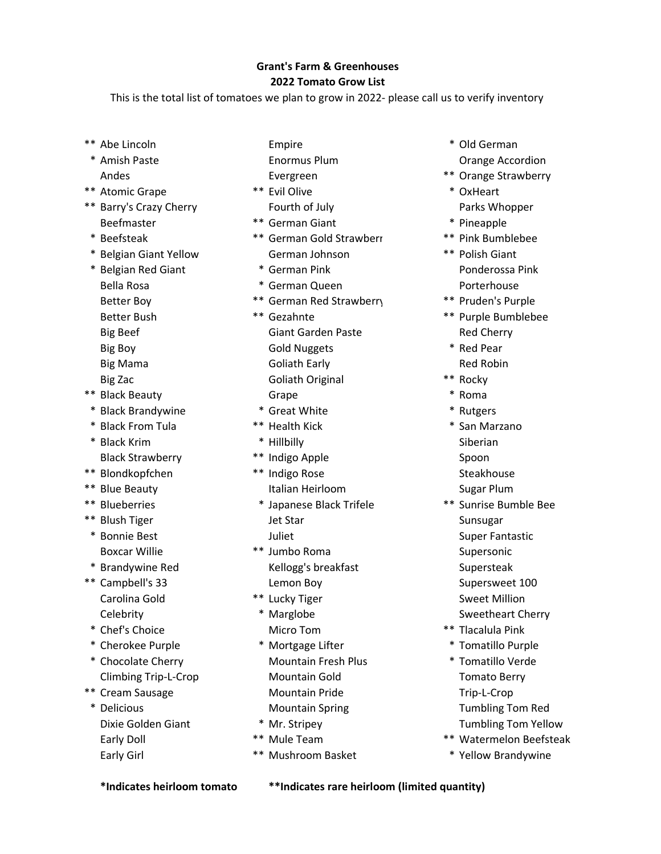## Grant's Farm & Greenhouses 2022 Tomato Grow List

This is the total list of tomatoes we plan to grow in 2022- please call us to verify inventory

- 
- \* Amish Paste **Enormus Plum Enormus Plum Constant Constant Constant Constant** Constant Constant Constant Constant Constant Constant Constant Constant Constant Constant Constant Constant Constant Constant Constant Const
- \*\* Atomic Grape \*\* Evil Olive \*\* Evil Olive \*\* Evil Olive \*\* OxHeart
- \*\* Barry's Crazy Cherry **Fourth of July** Parks Whopper Beefmaster **\*\*** German Giant **\*\*** Pineapple
- 
- 
- -
	-
- 
- \* Black Brandywine \* Great White \* Rutgers
- \* Black From Tula \*\* Health Kick \* San Marzano
- Black Strawberry **\*\*** Indigo Apple **Spoon**
- 
- 
- 
- 
- 
- 
- 
- 
- \* Cherokee Purple \* Mortgage Lifter \* Tomatillo Purple
- \* Chocolate Cherry Mountain Fresh Plus \* Tomatillo Verde Climbing Trip-L-Crop **Mountain Gold** Tomato Berry
- -
- 
- Andes **Evergreen** Evergreen **\*\*** Orange Strawberry
	-
	-
- \* Beefsteak \*\* German Gold Strawberr \*\* Pink Bumblebee \* Belgian Giant Yellow German Johnson \*\* Polish Giant
	-
	- Bella Rosa **\* German Queen** \* German Porterhouse
	- Better Boy \*\* German Red Strawberry \*\* Pruden's Purple
- Better Bush \*\* The second text was determined to the second text was determined to the second text was determined to the second text of the Bumblebee Big Beef Giant Garden Paste Red Cherry Big Boy **Gold Nuggets** \* Red Pear Big Mama Goliath Early **Galiath Early Goliath Early** Red Robin Big Zac **Goliath Original** \*\* Rocky \*\* Black Beauty Grape \* Roma
	-
	-
	-
	-
- \*\* Blondkopfchen \*\* Indigo Rose Steakhouse Steakhouse \*\* Blue Beauty **Italian Heirloom** Sugar Plum
- \*\* Blueberries \* \* Japanese Black Trifele \*\* Sunrise Bumble Bee \*\* Blush Tiger The Sunsugar Jet Star Sunsugar Sunsugar
- Boxcar Willie **\*\*** Jumbo Roma **Supersonic** Supersonic \* Brandywine Red The Kellogg's breakfast The Supersteak
	-
	-
	-
	-
	-
- \*\* Cream Sausage Trip-L-Crop Mountain Pride Trip-L-Crop
	-
	-
	-
	-
- \*\* Abe Lincoln **Empire Empire** \* 8 and the Lincoln **Empire** \* Old German
	-
	-
	-
	-
- \* Belgian Red Giant \* German Pink Ponderossa Pink
	-
	-
	-
	-
	-
	-
	-
- \* Black Krim \* \* Hillbilly \* Hillbilly \* Siberian
- \* Bonnie Best Super Fantastic Super Fantastic Super Fantastic \*\* Campbell's 33 Lemon Boy Communication Supersweet 100 Carolina Gold **\*\*** Lucky Tiger Sweet Million Celebrity **\* Marglobe Sweetheart Cherry Sweetheart Cherry**
- \* Chef's Choice Micro Tom \*\* Tlacalula Pink
	-
- \* Delicious Mountain Spring Tumbling Tom Red Dixie Golden Giant **\* Mr. Stripey Tumbling Tom Yellow** Tumbling Tom Yellow
	- Early Doll \*\* Mule Team \*\* Watermelon Beefsteak
	- Early Girl **Early Girl 1988 Early Girl 1888 Early Girl 1888 Early Girl 1888 Early Girl 1888 Early Girl 1888 Early Girl 1888 Early Girl 1888 Early Girl 1888 Early Girl 1888 Early Girl 1888 Early Girl 1**

\*Indicates heirloom tomato \*\*Indicates rare heirloom (limited quantity)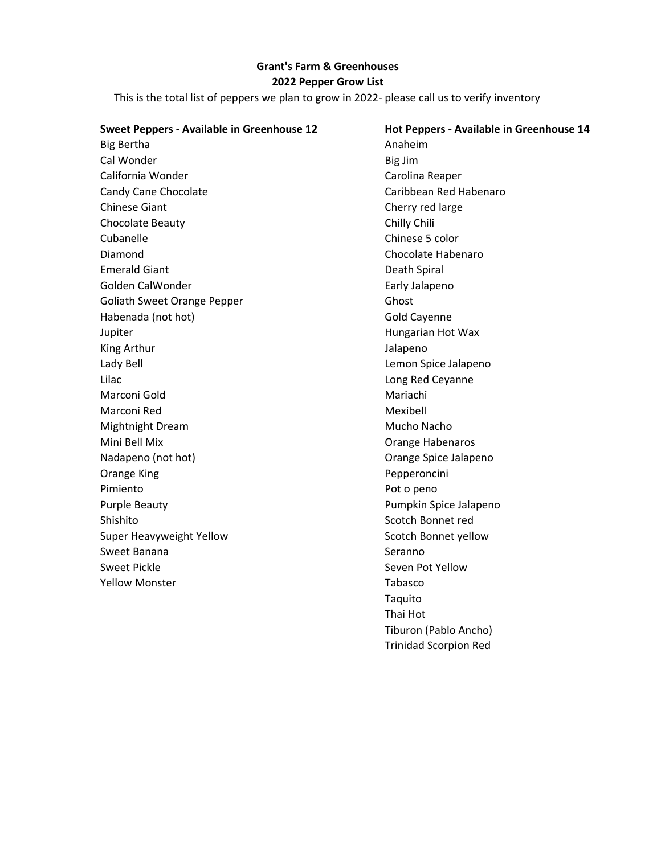## Grant's Farm & Greenhouses 2022 Pepper Grow List

This is the total list of peppers we plan to grow in 2022- please call us to verify inventory

| Sweet Peppers - Available in Greenhouse 12 | Hot Peppers - Available in Greenhouse 14 |
|--------------------------------------------|------------------------------------------|
| <b>Big Bertha</b>                          | Anaheim                                  |
| Cal Wonder                                 | Big Jim                                  |
| California Wonder                          | Carolina Reaper                          |
| <b>Candy Cane Chocolate</b>                | Caribbean Red Habenaro                   |
| <b>Chinese Giant</b>                       | Cherry red large                         |
| Chocolate Beauty                           | Chilly Chili                             |
| Cubanelle                                  | Chinese 5 color                          |
| Diamond                                    | Chocolate Habenaro                       |
| <b>Emerald Giant</b>                       | Death Spiral                             |
| Golden CalWonder                           | Early Jalapeno                           |
| <b>Goliath Sweet Orange Pepper</b>         | Ghost                                    |
| Habenada (not hot)                         | Gold Cayenne                             |
| Jupiter                                    | Hungarian Hot Wax                        |
| King Arthur                                | Jalapeno                                 |
| Lady Bell                                  | Lemon Spice Jalapeno                     |
| Lilac                                      | Long Red Ceyanne                         |
| Marconi Gold                               | Mariachi                                 |
| Marconi Red                                | Mexibell                                 |
| Mightnight Dream                           | Mucho Nacho                              |
| Mini Bell Mix                              | Orange Habenaros                         |
| Nadapeno (not hot)                         | Orange Spice Jalapeno                    |
| <b>Orange King</b>                         | Pepperoncini                             |
| Pimiento                                   | Pot o peno                               |
| <b>Purple Beauty</b>                       | Pumpkin Spice Jalapeno                   |
| Shishito                                   | Scotch Bonnet red                        |
| Super Heavyweight Yellow                   | Scotch Bonnet yellow                     |
| Sweet Banana                               | Seranno                                  |
| <b>Sweet Pickle</b>                        | Seven Pot Yellow                         |
| <b>Yellow Monster</b>                      | Tabasco                                  |
|                                            | Taquito                                  |
|                                            | Thai Hot                                 |

Tiburon (Pablo Ancho) Trinidad Scorpion Red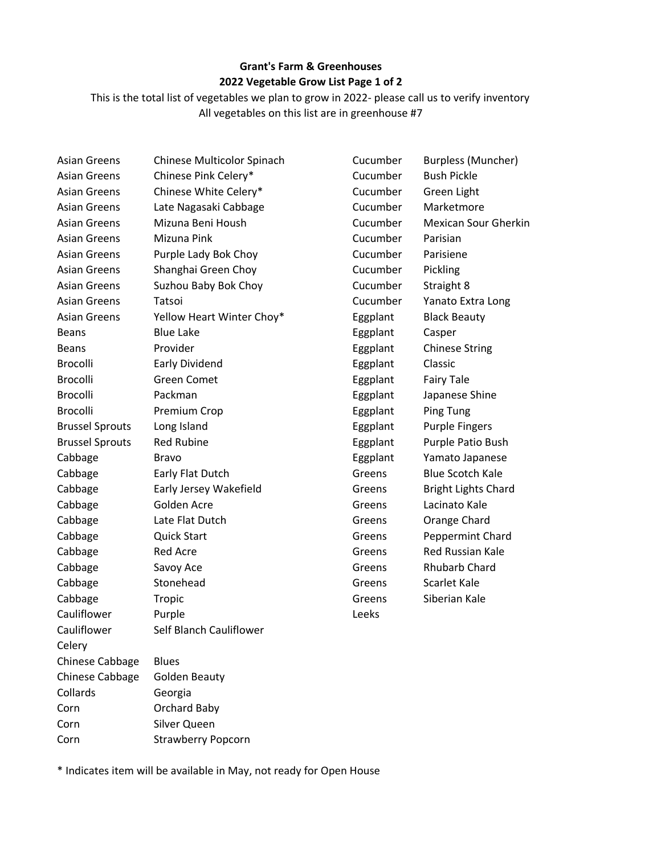## Grant's Farm & Greenhouses 2022 Vegetable Grow List Page 1 of 2

This is the total list of vegetables we plan to grow in 2022- please call us to verify inventory All vegetables on this list are in greenhouse #7

| <b>Asian Greens</b>    | Chinese Multicolor Spinach | Cucumber | <b>Burpless (Muncher)</b>  |
|------------------------|----------------------------|----------|----------------------------|
| <b>Asian Greens</b>    | Chinese Pink Celery*       | Cucumber | <b>Bush Pickle</b>         |
| <b>Asian Greens</b>    | Chinese White Celery*      | Cucumber | Green Light                |
| <b>Asian Greens</b>    | Late Nagasaki Cabbage      | Cucumber | Marketmore                 |
| <b>Asian Greens</b>    | Mizuna Beni Housh          | Cucumber | Mexican Sour Gherkin       |
| <b>Asian Greens</b>    | Mizuna Pink                | Cucumber | Parisian                   |
| <b>Asian Greens</b>    | Purple Lady Bok Choy       | Cucumber | Parisiene                  |
| <b>Asian Greens</b>    | Shanghai Green Choy        | Cucumber | Pickling                   |
| <b>Asian Greens</b>    | Suzhou Baby Bok Choy       | Cucumber | Straight 8                 |
| <b>Asian Greens</b>    | Tatsoi                     | Cucumber | Yanato Extra Long          |
| <b>Asian Greens</b>    | Yellow Heart Winter Choy*  | Eggplant | <b>Black Beauty</b>        |
| <b>Beans</b>           | <b>Blue Lake</b>           | Eggplant | Casper                     |
| <b>Beans</b>           | Provider                   | Eggplant | <b>Chinese String</b>      |
| <b>Brocolli</b>        | <b>Early Dividend</b>      | Eggplant | Classic                    |
| <b>Brocolli</b>        | <b>Green Comet</b>         | Eggplant | <b>Fairy Tale</b>          |
| <b>Brocolli</b>        | Packman                    | Eggplant | Japanese Shine             |
| Brocolli               | Premium Crop               | Eggplant | <b>Ping Tung</b>           |
| <b>Brussel Sprouts</b> | Long Island                | Eggplant | <b>Purple Fingers</b>      |
| <b>Brussel Sprouts</b> | <b>Red Rubine</b>          | Eggplant | Purple Patio Bush          |
| Cabbage                | <b>Bravo</b>               | Eggplant | Yamato Japanese            |
| Cabbage                | Early Flat Dutch           | Greens   | <b>Blue Scotch Kale</b>    |
| Cabbage                | Early Jersey Wakefield     | Greens   | <b>Bright Lights Chard</b> |
| Cabbage                | Golden Acre                | Greens   | Lacinato Kale              |
| Cabbage                | Late Flat Dutch            | Greens   | Orange Chard               |
| Cabbage                | <b>Quick Start</b>         | Greens   | Peppermint Chard           |
| Cabbage                | <b>Red Acre</b>            | Greens   | <b>Red Russian Kale</b>    |
| Cabbage                | Savoy Ace                  | Greens   | <b>Rhubarb Chard</b>       |
| Cabbage                | Stonehead                  | Greens   | Scarlet Kale               |
| Cabbage                | Tropic                     | Greens   | Siberian Kale              |
| Cauliflower            | Purple                     | Leeks    |                            |
| Cauliflower            | Self Blanch Cauliflower    |          |                            |
| Celery                 |                            |          |                            |
| Chinese Cabbage        | <b>Blues</b>               |          |                            |
| Chinese Cabbage        | <b>Golden Beauty</b>       |          |                            |
| Collards               | Georgia                    |          |                            |
| Corn                   | Orchard Baby               |          |                            |
| Corn                   | Silver Queen               |          |                            |
| Corn                   | <b>Strawberry Popcorn</b>  |          |                            |

\* Indicates item will be available in May, not ready for Open House